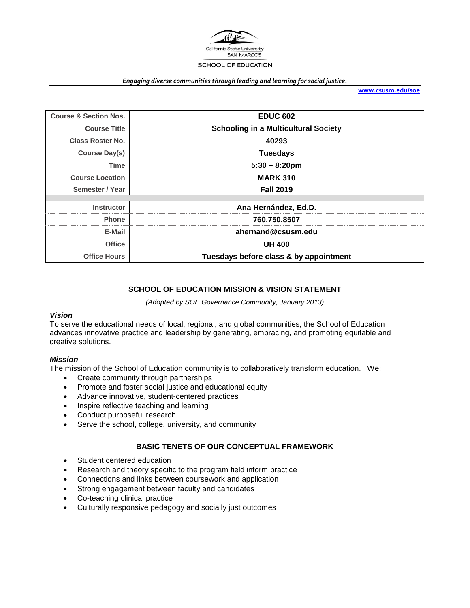

#### *Engaging diverse communities through leading and learning for social justice.*

**[www.csusm.edu/soe](http://www.csusm.edu/soe)**

| <b>Course &amp; Section Nos.</b> | <b>EDUC 602</b>                             |
|----------------------------------|---------------------------------------------|
| <b>Course Title</b>              | <b>Schooling in a Multicultural Society</b> |
| Class Roster No.                 | 40293                                       |
| <b>Course Day(s)</b>             | <b>Tuesdays</b>                             |
| Time                             | $5:30 - 8:20$ pm                            |
| <b>Course Location</b>           | <b>MARK 310</b>                             |
| Semester / Year                  | <b>Fall 2019</b>                            |
|                                  |                                             |
| <b>Instructor</b>                | Ana Hernández, Ed.D.                        |
| <b>Phone</b>                     | 760.750.8507                                |
| E-Mail                           | ahernand@csusm.edu                          |
| Office                           | <b>UH 400</b>                               |
| <b>Office Hours</b>              | Tuesdays before class & by appointment      |

## **SCHOOL OF EDUCATION MISSION & VISION STATEMENT**

*(Adopted by SOE Governance Community, January 2013)*

#### *Vision*

To serve the educational needs of local, regional, and global communities, the School of Education advances innovative practice and leadership by generating, embracing, and promoting equitable and creative solutions.

## *Mission*

The mission of the School of Education community is to collaboratively transform education. We:

- Create community through partnerships
- Promote and foster social justice and educational equity
- Advance innovative, student-centered practices
- Inspire reflective teaching and learning
- Conduct purposeful research
- Serve the school, college, university, and community

## **BASIC TENETS OF OUR CONCEPTUAL FRAMEWORK**

- Student centered education
- Research and theory specific to the program field inform practice
- Connections and links between coursework and application
- Strong engagement between faculty and candidates
- Co-teaching clinical practice
- Culturally responsive pedagogy and socially just outcomes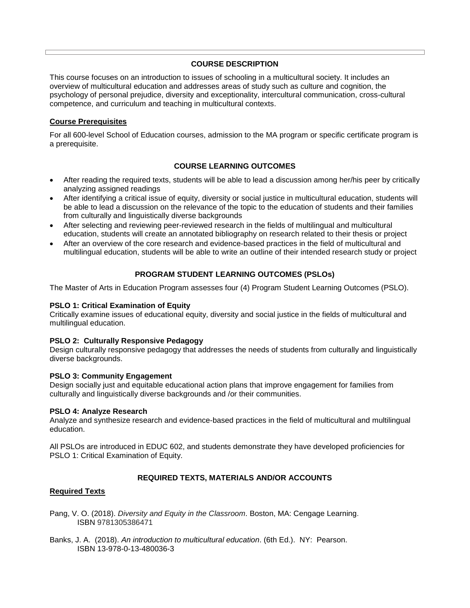## **COURSE DESCRIPTION**

This course focuses on an introduction to issues of schooling in a multicultural society. It includes an overview of multicultural education and addresses areas of study such as culture and cognition, the psychology of personal prejudice, diversity and exceptionality, intercultural communication, cross-cultural competence, and curriculum and teaching in multicultural contexts.

#### **Course Prerequisites**

For all 600-level School of Education courses, admission to the MA program or specific certificate program is a prerequisite.

## **COURSE LEARNING OUTCOMES**

- After reading the required texts, students will be able to lead a discussion among her/his peer by critically analyzing assigned readings
- After identifying a critical issue of equity, diversity or social justice in multicultural education, students will be able to lead a discussion on the relevance of the topic to the education of students and their families from culturally and linguistically diverse backgrounds
- After selecting and reviewing peer-reviewed research in the fields of multilingual and multicultural education, students will create an annotated bibliography on research related to their thesis or project
- After an overview of the core research and evidence-based practices in the field of multicultural and multilingual education, students will be able to write an outline of their intended research study or project

## **PROGRAM STUDENT LEARNING OUTCOMES (PSLOs)**

The Master of Arts in Education Program assesses four (4) Program Student Learning Outcomes (PSLO).

#### **PSLO 1: Critical Examination of Equity**

Critically examine issues of educational equity, diversity and social justice in the fields of multicultural and multilingual education.

#### **PSLO 2: Culturally Responsive Pedagogy**

Design culturally responsive pedagogy that addresses the needs of students from culturally and linguistically diverse backgrounds.

#### **PSLO 3: Community Engagement**

Design socially just and equitable educational action plans that improve engagement for families from culturally and linguistically diverse backgrounds and /or their communities.

#### **PSLO 4: Analyze Research**

Analyze and synthesize research and evidence-based practices in the field of multicultural and multilingual education.

All PSLOs are introduced in EDUC 602, and students demonstrate they have developed proficiencies for PSLO 1: Critical Examination of Equity.

#### **REQUIRED TEXTS, MATERIALS AND/OR ACCOUNTS**

#### **Required Texts**

- Pang, V. O. (2018). *Diversity and Equity in the Classroom*. Boston, MA: Cengage Learning. ISBN 9781305386471
- Banks, J. A. (2018). *An introduction to multicultural education*. (6th Ed.). NY: Pearson. ISBN 13-978-0-13-480036-3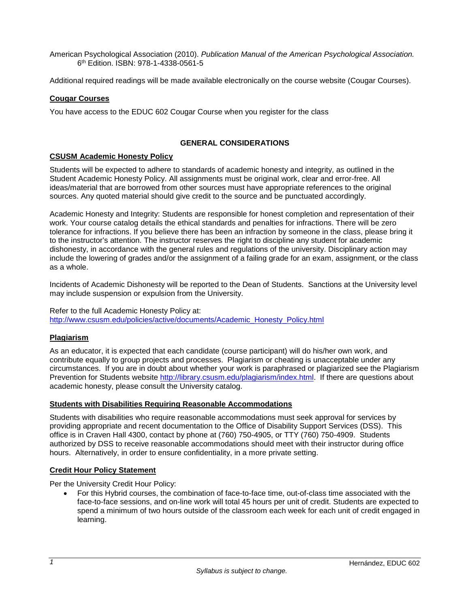American Psychological Association (2010). *Publication Manual of the American Psychological Association.* 6th Edition. ISBN: 978-1-4338-0561-5

Additional required readings will be made available electronically on the course website (Cougar Courses).

#### **Cougar Courses**

You have access to the EDUC 602 Cougar Course when you register for the class

#### **GENERAL CONSIDERATIONS**

## **CSUSM Academic Honesty Policy**

Students will be expected to adhere to standards of academic honesty and integrity, as outlined in the Student Academic Honesty Policy. All assignments must be original work, clear and error-free. All ideas/material that are borrowed from other sources must have appropriate references to the original sources. Any quoted material should give credit to the source and be punctuated accordingly.

Academic Honesty and Integrity: Students are responsible for honest completion and representation of their work. Your course catalog details the ethical standards and penalties for infractions. There will be zero tolerance for infractions. If you believe there has been an infraction by someone in the class, please bring it to the instructor's attention. The instructor reserves the right to discipline any student for academic dishonesty, in accordance with the general rules and regulations of the university. Disciplinary action may include the lowering of grades and/or the assignment of a failing grade for an exam, assignment, or the class as a whole.

Incidents of Academic Dishonesty will be reported to the Dean of Students. Sanctions at the University level may include suspension or expulsion from the University.

#### Refer to the full Academic Honesty Policy at:

[http://www.csusm.edu/policies/active/documents/Academic\\_Honesty\\_Policy.html](http://www.csusm.edu/policies/active/documents/Academic_Honesty_Policy.html)

## **Plagiarism**

As an educator, it is expected that each candidate (course participant) will do his/her own work, and contribute equally to group projects and processes. Plagiarism or cheating is unacceptable under any circumstances. If you are in doubt about whether your work is paraphrased or plagiarized see the Plagiarism Prevention for Students website [http://library.csusm.edu/plagiarism/index.html.](http://library.csusm.edu/plagiarism/index.html) If there are questions about academic honesty, please consult the University catalog.

#### **Students with Disabilities Requiring Reasonable Accommodations**

Students with disabilities who require reasonable accommodations must seek approval for services by providing appropriate and recent documentation to the Office of Disability Support Services (DSS). This office is in Craven Hall 4300, contact by phone at (760) 750-4905, or TTY (760) 750-4909. Students authorized by DSS to receive reasonable accommodations should meet with their instructor during office hours. Alternatively, in order to ensure confidentiality, in a more private setting.

#### **Credit Hour Policy Statement**

Per the University Credit Hour Policy:

• For this Hybrid courses, the combination of face-to-face time, out-of-class time associated with the face-to-face sessions, and on-line work will total 45 hours per unit of credit. Students are expected to spend a minimum of two hours outside of the classroom each week for each unit of credit engaged in learning.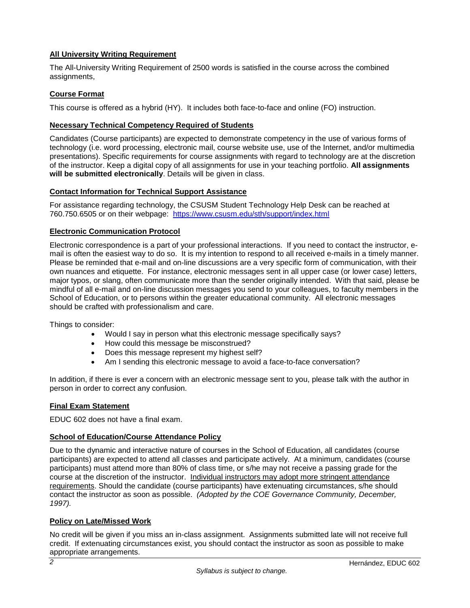# **All University Writing Requirement**

The All-University Writing Requirement of 2500 words is satisfied in the course across the combined assignments,

## **Course Format**

This course is offered as a hybrid (HY). It includes both face-to-face and online (FO) instruction.

## **Necessary Technical Competency Required of Students**

Candidates (Course participants) are expected to demonstrate competency in the use of various forms of technology (i.e. word processing, electronic mail, course website use, use of the Internet, and/or multimedia presentations). Specific requirements for course assignments with regard to technology are at the discretion of the instructor. Keep a digital copy of all assignments for use in your teaching portfolio. **All assignments will be submitted electronically**. Details will be given in class.

## **Contact Information for Technical Support Assistance**

For assistance regarding technology, the CSUSM Student Technology Help Desk can be reached at 760.750.6505 or on their webpage: <https://www.csusm.edu/sth/support/index.html>

#### **Electronic Communication Protocol**

Electronic correspondence is a part of your professional interactions. If you need to contact the instructor, email is often the easiest way to do so. It is my intention to respond to all received e-mails in a timely manner. Please be reminded that e-mail and on-line discussions are a very specific form of communication, with their own nuances and etiquette. For instance, electronic messages sent in all upper case (or lower case) letters, major typos, or slang, often communicate more than the sender originally intended. With that said, please be mindful of all e-mail and on-line discussion messages you send to your colleagues, to faculty members in the School of Education, or to persons within the greater educational community. All electronic messages should be crafted with professionalism and care.

Things to consider:

- Would I say in person what this electronic message specifically says?
- How could this message be misconstrued?
- Does this message represent my highest self?
- Am I sending this electronic message to avoid a face-to-face conversation?

In addition, if there is ever a concern with an electronic message sent to you, please talk with the author in person in order to correct any confusion.

#### **Final Exam Statement**

EDUC 602 does not have a final exam.

## **School of Education/Course Attendance Policy**

Due to the dynamic and interactive nature of courses in the School of Education, all candidates (course participants) are expected to attend all classes and participate actively. At a minimum, candidates (course participants) must attend more than 80% of class time, or s/he may not receive a passing grade for the course at the discretion of the instructor. Individual instructors may adopt more stringent attendance requirements. Should the candidate (course participants) have extenuating circumstances, s/he should contact the instructor as soon as possible. *(Adopted by the COE Governance Community, December, 1997).*

## **Policy on Late/Missed Work**

No credit will be given if you miss an in-class assignment. Assignments submitted late will not receive full credit. If extenuating circumstances exist, you should contact the instructor as soon as possible to make appropriate arrangements.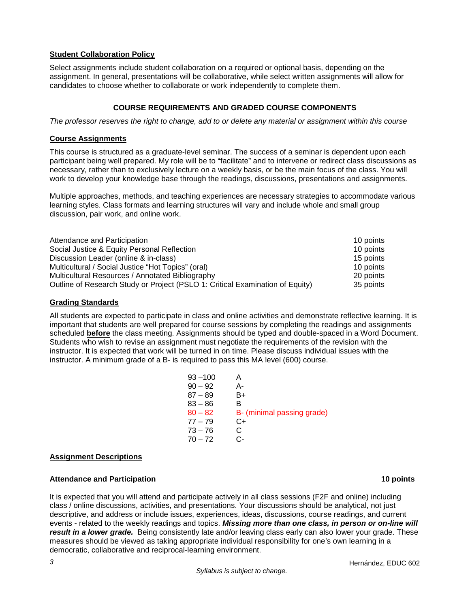## **Student Collaboration Policy**

Select assignments include student collaboration on a required or optional basis, depending on the assignment. In general, presentations will be collaborative, while select written assignments will allow for candidates to choose whether to collaborate or work independently to complete them.

## **COURSE REQUIREMENTS AND GRADED COURSE COMPONENTS**

*The professor reserves the right to change, add to or delete any material or assignment within this course*

#### **Course Assignments**

This course is structured as a graduate-level seminar. The success of a seminar is dependent upon each participant being well prepared. My role will be to "facilitate" and to intervene or redirect class discussions as necessary, rather than to exclusively lecture on a weekly basis, or be the main focus of the class. You will work to develop your knowledge base through the readings, discussions, presentations and assignments.

Multiple approaches, methods, and teaching experiences are necessary strategies to accommodate various learning styles. Class formats and learning structures will vary and include whole and small group discussion, pair work, and online work.

| Attendance and Participation                                                  | 10 points |
|-------------------------------------------------------------------------------|-----------|
| Social Justice & Equity Personal Reflection                                   | 10 points |
| Discussion Leader (online & in-class)                                         | 15 points |
| Multicultural / Social Justice "Hot Topics" (oral)                            | 10 points |
| Multicultural Resources / Annotated Bibliography                              | 20 points |
| Outline of Research Study or Project (PSLO 1: Critical Examination of Equity) | 35 points |

#### **Grading Standards**

All students are expected to participate in class and online activities and demonstrate reflective learning. It is important that students are well prepared for course sessions by completing the readings and assignments scheduled **before** the class meeting. Assignments should be typed and double-spaced in a Word Document. Students who wish to revise an assignment must negotiate the requirements of the revision with the instructor. It is expected that work will be turned in on time. Please discuss individual issues with the instructor. A minimum grade of a B- is required to pass this MA level (600) course.

| $93 - 100$ | A                          |
|------------|----------------------------|
| $90 - 92$  | А-                         |
| $87 - 89$  | B+                         |
| 83 – 86    | в                          |
| $80 - 82$  | B- (minimal passing grade) |
| 77 – 79    | C+                         |
| 73 – 76    | C.                         |
| $70 - 72$  | င-                         |
|            |                            |

#### **Assignment Descriptions**

## **Attendance and Participation 10 points**

It is expected that you will attend and participate actively in all class sessions (F2F and online) including class / online discussions, activities, and presentations. Your discussions should be analytical, not just descriptive, and address or include issues, experiences, ideas, discussions, course readings, and current events - related to the weekly readings and topics. *Missing more than one class, in person or on-line will result in a lower grade.*Being consistently late and/or leaving class early can also lower your grade. These measures should be viewed as taking appropriate individual responsibility for one's own learning in a democratic, collaborative and reciprocal-learning environment.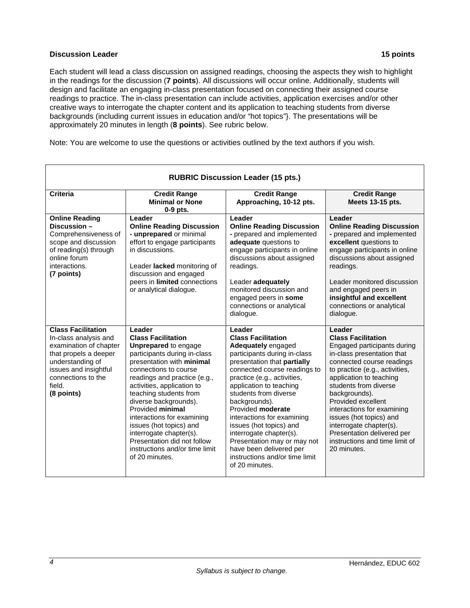#### **Discussion Leader 15 points**

Each student will lead a class discussion on assigned readings, choosing the aspects they wish to highlight in the readings for the discussion (**7 points**). All discussions will occur online. Additionally, students will design and facilitate an engaging in-class presentation focused on connecting their assigned course readings to practice. The in-class presentation can include activities, application exercises and/or other creative ways to interrogate the chapter content and its application to teaching students from diverse backgrounds (including current issues in education and/or "hot topics"}. The presentations will be approximately 20 minutes in length (**8 points**). See rubric below.

Note: You are welcome to use the questions or activities outlined by the text authors if you wish.

| <b>RUBRIC Discussion Leader (15 pts.)</b>                                                                                                                                                        |                                                                                                                                                                                                                                                                                                                                                                                                                                                                      |                                                                                                                                                                                                                                                                                                                                                                                                                                                                                            |                                                                                                                                                                                                                                                                                                                                                                                                                               |
|--------------------------------------------------------------------------------------------------------------------------------------------------------------------------------------------------|----------------------------------------------------------------------------------------------------------------------------------------------------------------------------------------------------------------------------------------------------------------------------------------------------------------------------------------------------------------------------------------------------------------------------------------------------------------------|--------------------------------------------------------------------------------------------------------------------------------------------------------------------------------------------------------------------------------------------------------------------------------------------------------------------------------------------------------------------------------------------------------------------------------------------------------------------------------------------|-------------------------------------------------------------------------------------------------------------------------------------------------------------------------------------------------------------------------------------------------------------------------------------------------------------------------------------------------------------------------------------------------------------------------------|
| <b>Criteria</b>                                                                                                                                                                                  | <b>Credit Range</b><br><b>Minimal or None</b><br>$0-9$ pts.                                                                                                                                                                                                                                                                                                                                                                                                          | <b>Credit Range</b><br>Approaching, 10-12 pts.                                                                                                                                                                                                                                                                                                                                                                                                                                             | <b>Credit Range</b><br>Meets 13-15 pts.                                                                                                                                                                                                                                                                                                                                                                                       |
| <b>Online Reading</b><br>Discussion –<br>Comprehensiveness of<br>scope and discussion<br>of reading(s) through<br>online forum<br>interactions.<br>(7 points)                                    | Leader<br><b>Online Reading Discussion</b><br>- unprepared or minimal<br>effort to engage participants<br>in discussions.<br>Leader lacked monitoring of<br>discussion and engaged<br>peers in limited connections<br>or analytical dialogue.                                                                                                                                                                                                                        | Leader<br><b>Online Reading Discussion</b><br>- prepared and implemented<br>adequate questions to<br>engage participants in online<br>discussions about assigned<br>readings.<br>Leader adequately<br>monitored discussion and<br>engaged peers in some<br>connections or analytical<br>dialogue.                                                                                                                                                                                          | Leader<br><b>Online Reading Discussion</b><br>- prepared and implemented<br>excellent questions to<br>engage participants in online<br>discussions about assigned<br>readings.<br>Leader monitored discussion<br>and engaged peers in<br>insightful and excellent<br>connections or analytical<br>dialogue.                                                                                                                   |
| <b>Class Facilitation</b><br>In-class analysis and<br>examination of chapter<br>that propels a deeper<br>understanding of<br>issues and insightful<br>connections to the<br>field.<br>(8 points) | Leader<br><b>Class Facilitation</b><br><b>Unprepared</b> to engage<br>participants during in-class<br>presentation with minimal<br>connections to course<br>readings and practice (e.g.,<br>activities, application to<br>teaching students from<br>diverse backgrounds).<br>Provided minimal<br>interactions for examining<br>issues (hot topics) and<br>interrogate chapter(s).<br>Presentation did not follow<br>instructions and/or time limit<br>of 20 minutes. | Leader<br><b>Class Facilitation</b><br><b>Adequately</b> engaged<br>participants during in-class<br>presentation that partially<br>connected course readings to<br>practice (e.g., activities,<br>application to teaching<br>students from diverse<br>backgrounds).<br>Provided moderate<br>interactions for examining<br>issues (hot topics) and<br>interrogate chapter(s).<br>Presentation may or may not<br>have been delivered per<br>instructions and/or time limit<br>of 20 minutes. | Leader<br><b>Class Facilitation</b><br>Engaged participants during<br>in-class presentation that<br>connected course readings<br>to practice (e.g., activities,<br>application to teaching<br>students from diverse<br>backgrounds).<br>Provided excellent<br>interactions for examining<br>issues (hot topics) and<br>interrogate chapter(s).<br>Presentation delivered per<br>instructions and time limit of<br>20 minutes. |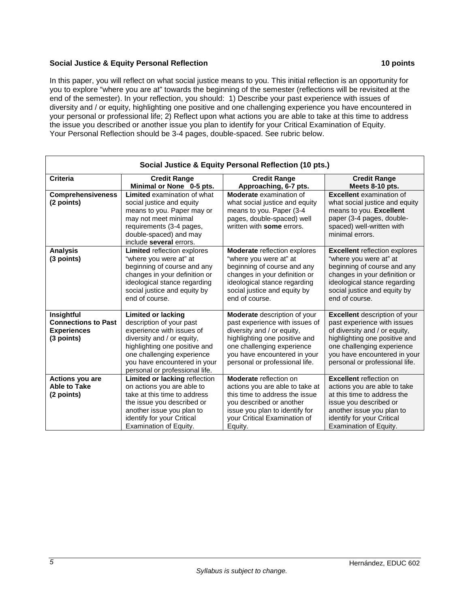## **Social Justice & Equity Personal Reflection 10 points**

In this paper, you will reflect on what social justice means to you. This initial reflection is an opportunity for you to explore "where you are at" towards the beginning of the semester (reflections will be revisited at the end of the semester). In your reflection, you should: 1) Describe your past experience with issues of diversity and / or equity, highlighting one positive and one challenging experience you have encountered in your personal or professional life; 2) Reflect upon what actions you are able to take at this time to address the issue you described or another issue you plan to identify for your Critical Examination of Equity. Your Personal Reflection should be 3-4 pages, double-spaced. See rubric below.

| Social Justice & Equity Personal Reflection (10 pts.)                        |                                                                                                                                                                                                                                                   |                                                                                                                                                                                                                                      |                                                                                                                                                                                                                                       |
|------------------------------------------------------------------------------|---------------------------------------------------------------------------------------------------------------------------------------------------------------------------------------------------------------------------------------------------|--------------------------------------------------------------------------------------------------------------------------------------------------------------------------------------------------------------------------------------|---------------------------------------------------------------------------------------------------------------------------------------------------------------------------------------------------------------------------------------|
| <b>Criteria</b>                                                              | <b>Credit Range</b><br>Minimal or None 0-5 pts.                                                                                                                                                                                                   | <b>Credit Range</b><br>Approaching, 6-7 pts.                                                                                                                                                                                         | <b>Credit Range</b><br>Meets 8-10 pts.                                                                                                                                                                                                |
| <b>Comprehensiveness</b><br>(2 points)                                       | Limited examination of what<br>social justice and equity<br>means to you. Paper may or<br>may not meet minimal<br>requirements (3-4 pages,<br>double-spaced) and may<br>include several errors.                                                   | <b>Moderate</b> examination of<br>what social justice and equity<br>means to you. Paper (3-4<br>pages, double-spaced) well<br>written with some errors.                                                                              | <b>Excellent</b> examination of<br>what social justice and equity<br>means to you. Excellent<br>paper (3-4 pages, double-<br>spaced) well-written with<br>minimal errors.                                                             |
| <b>Analysis</b><br>(3 points)                                                | Limited reflection explores<br>"where you were at" at<br>beginning of course and any<br>changes in your definition or<br>ideological stance regarding<br>social justice and equity by<br>end of course.                                           | Moderate reflection explores<br>"where you were at" at<br>beginning of course and any<br>changes in your definition or<br>ideological stance regarding<br>social justice and equity by<br>end of course.                             | <b>Excellent reflection explores</b><br>"where you were at" at<br>beginning of course and any<br>changes in your definition or<br>ideological stance regarding<br>social justice and equity by<br>end of course.                      |
| Insightful<br><b>Connections to Past</b><br><b>Experiences</b><br>(3 points) | <b>Limited or lacking</b><br>description of your past<br>experience with issues of<br>diversity and / or equity,<br>highlighting one positive and<br>one challenging experience<br>you have encountered in your<br>personal or professional life. | <b>Moderate</b> description of your<br>past experience with issues of<br>diversity and / or equity,<br>highlighting one positive and<br>one challenging experience<br>you have encountered in your<br>personal or professional life. | <b>Excellent</b> description of your<br>past experience with issues<br>of diversity and / or equity,<br>highlighting one positive and<br>one challenging experience<br>you have encountered in your<br>personal or professional life. |
| <b>Actions you are</b><br><b>Able to Take</b><br>(2 points)                  | Limited or lacking reflection<br>on actions you are able to<br>take at this time to address<br>the issue you described or<br>another issue you plan to<br>identify for your Critical<br>Examination of Equity.                                    | <b>Moderate</b> reflection on<br>actions you are able to take at<br>this time to address the issue<br>you described or another<br>issue you plan to identify for<br>your Critical Examination of<br>Equity.                          | <b>Excellent</b> reflection on<br>actions you are able to take<br>at this time to address the<br>issue you described or<br>another issue you plan to<br>identify for your Critical<br>Examination of Equity.                          |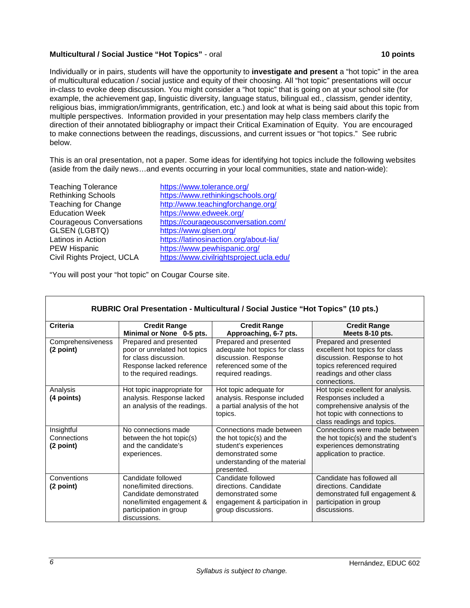## **Multicultural / Social Justice "Hot Topics"** - oral **10 points**

Individually or in pairs, students will have the opportunity to **investigate and present** a "hot topic" in the area of multicultural education / social justice and equity of their choosing. All "hot topic" presentations will occur in-class to evoke deep discussion. You might consider a "hot topic" that is going on at your school site (for example, the achievement gap, linguistic diversity, language status, bilingual ed., classism, gender identity, religious bias, immigration/immigrants, gentrification, etc.) and look at what is being said about this topic from multiple perspectives. Information provided in your presentation may help class members clarify the direction of their annotated bibliography or impact their Critical Examination of Equity. You are encouraged to make connections between the readings, discussions, and current issues or "hot topics." See rubric below.

This is an oral presentation, not a paper. Some ideas for identifying hot topics include the following websites (aside from the daily news…and events occurring in your local communities, state and nation-wide):

| <b>Teaching Tolerance</b>       | https://www.tolerance.org/               |
|---------------------------------|------------------------------------------|
| <b>Rethinking Schools</b>       | https://www.rethinkingschools.org/       |
| <b>Teaching for Change</b>      | http://www.teachingforchange.org/        |
| <b>Education Week</b>           | https://www.edweek.org/                  |
| <b>Courageous Conversations</b> | https://courageousconversation.com/      |
| <b>GLSEN (LGBTQ)</b>            | https://www.glsen.org/                   |
| Latinos in Action               | https://latinosinaction.org/about-lia/   |
| <b>PEW Hispanic</b>             | https://www.pewhispanic.org/             |
| Civil Rights Project, UCLA      | https://www.civilrightsproject.ucla.edu/ |
|                                 |                                          |

"You will post your "hot topic" on Cougar Course site.

| RUBRIC Oral Presentation - Multicultural / Social Justice "Hot Topics" (10 pts.) |                                                                                                                                                 |                                                                                                                                                   |                                                                                                                                                                   |
|----------------------------------------------------------------------------------|-------------------------------------------------------------------------------------------------------------------------------------------------|---------------------------------------------------------------------------------------------------------------------------------------------------|-------------------------------------------------------------------------------------------------------------------------------------------------------------------|
| <b>Criteria</b>                                                                  | <b>Credit Range</b><br>Minimal or None 0-5 pts.                                                                                                 | <b>Credit Range</b><br>Approaching, 6-7 pts.                                                                                                      | <b>Credit Range</b><br>Meets 8-10 pts.                                                                                                                            |
| Comprehensiveness<br>(2 point)                                                   | Prepared and presented<br>poor or unrelated hot topics<br>for class discussion.<br>Response lacked reference<br>to the required readings.       | Prepared and presented<br>adequate hot topics for class<br>discussion. Response<br>referenced some of the<br>required readings.                   | Prepared and presented<br>excellent hot topics for class<br>discussion. Response to hot<br>topics referenced required<br>readings and other class<br>connections. |
| Analysis<br>(4 points)                                                           | Hot topic inappropriate for<br>analysis. Response lacked<br>an analysis of the readings.                                                        | Hot topic adequate for<br>analysis. Response included<br>a partial analysis of the hot<br>topics.                                                 | Hot topic excellent for analysis.<br>Responses included a<br>comprehensive analysis of the<br>hot topic with connections to<br>class readings and topics.         |
| Insightful<br>Connections<br>(2 point)                                           | No connections made<br>between the hot topic(s)<br>and the candidate's<br>experiences.                                                          | Connections made between<br>the hot topic(s) and the<br>student's experiences<br>demonstrated some<br>understanding of the material<br>presented. | Connections were made between<br>the hot topic(s) and the student's<br>experiences demonstrating<br>application to practice.                                      |
| Conventions<br>(2 point)                                                         | Candidate followed<br>none/limited directions.<br>Candidate demonstrated<br>none/limited engagement &<br>participation in group<br>discussions. | Candidate followed<br>directions. Candidate<br>demonstrated some<br>engagement & participation in<br>group discussions.                           | Candidate has followed all<br>directions. Candidate<br>demonstrated full engagement &<br>participation in group<br>discussions.                                   |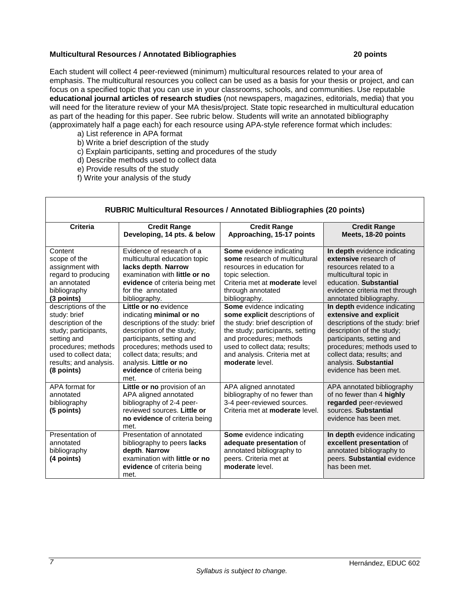#### **Multicultural Resources / Annotated Bibliographies 20 points**

Each student will collect 4 peer-reviewed (minimum) multicultural resources related to your area of emphasis. The multicultural resources you collect can be used as a basis for your thesis or project, and can focus on a specified topic that you can use in your classrooms, schools, and communities. Use reputable **educational journal articles of research studies** (not newspapers, magazines, editorials, media) that you will need for the literature review of your MA thesis/project. State topic researched in multicultural education as part of the heading for this paper. See rubric below. Students will write an annotated bibliography (approximately half a page each) for each resource using APA-style reference format which includes:

- a) List reference in APA format
- b) Write a brief description of the study
- c) Explain participants, setting and procedures of the study
- d) Describe methods used to collect data
- e) Provide results of the study
- f) Write your analysis of the study

| Criteria                                                                                                                                                                                 | <b>Credit Range</b><br>Developing, 14 pts. & below                                                                                                                                                                                                  | <b>Credit Range</b><br>Approaching, 15-17 points                                                                                                                                                                                                  | <b>Credit Range</b><br>Meets, 18-20 points                                                                                                                                                                                                                           |
|------------------------------------------------------------------------------------------------------------------------------------------------------------------------------------------|-----------------------------------------------------------------------------------------------------------------------------------------------------------------------------------------------------------------------------------------------------|---------------------------------------------------------------------------------------------------------------------------------------------------------------------------------------------------------------------------------------------------|----------------------------------------------------------------------------------------------------------------------------------------------------------------------------------------------------------------------------------------------------------------------|
| Content<br>scope of the<br>assignment with<br>regard to producing<br>an annotated<br>bibliography<br>(3 points)                                                                          | Evidence of research of a<br>multicultural education topic<br>lacks depth. Narrow<br>examination with little or no<br>evidence of criteria being met<br>for the annotated<br>bibliography.<br>Little or no evidence                                 | Some evidence indicating<br>some research of multicultural<br>resources in education for<br>topic selection.<br>Criteria met at <b>moderate</b> level<br>through annotated<br>bibliography.                                                       | In depth evidence indicating<br>extensive research of<br>resources related to a<br>multicultural topic in<br>education. Substantial<br>evidence criteria met through<br>annotated bibliography.                                                                      |
| descriptions of the<br>study: brief<br>description of the<br>study; participants,<br>setting and<br>procedures; methods<br>used to collect data;<br>results; and analysis.<br>(8 points) | indicating minimal or no<br>descriptions of the study: brief<br>description of the study;<br>participants, setting and<br>procedures; methods used to<br>collect data; results; and<br>analysis. Little or no<br>evidence of criteria being<br>met. | Some evidence indicating<br>some explicit descriptions of<br>the study: brief description of<br>the study; participants, setting<br>and procedures; methods<br>used to collect data; results;<br>and analysis. Criteria met at<br>moderate level. | In depth evidence indicating<br>extensive and explicit<br>descriptions of the study: brief<br>description of the study;<br>participants, setting and<br>procedures; methods used to<br>collect data; results; and<br>analysis. Substantial<br>evidence has been met. |
| APA format for<br>annotated<br>bibliography<br>(5 points)                                                                                                                                | Little or no provision of an<br>APA aligned annotated<br>bibliography of 2-4 peer-<br>reviewed sources. Little or<br>no evidence of criteria being<br>met.                                                                                          | APA aligned annotated<br>bibliography of no fewer than<br>3-4 peer-reviewed sources.<br>Criteria met at <b>moderate</b> level.                                                                                                                    | APA annotated bibliography<br>of no fewer than 4 highly<br>regarded peer-reviewed<br>sources. Substantial<br>evidence has been met.                                                                                                                                  |
| Presentation of<br>annotated<br>bibliography<br>(4 points)                                                                                                                               | Presentation of annotated<br>bibliography to peers lacks<br>depth. Narrow<br>examination with little or no<br>evidence of criteria being<br>met.                                                                                                    | <b>Some</b> evidence indicating<br>adequate presentation of<br>annotated bibliography to<br>peers. Criteria met at<br>moderate level.                                                                                                             | In depth evidence indicating<br>excellent presentation of<br>annotated bibliography to<br>peers. Substantial evidence<br>has been met.                                                                                                                               |

# **RUBRIC Multicultural Resources / Annotated Bibliographies (20 points)**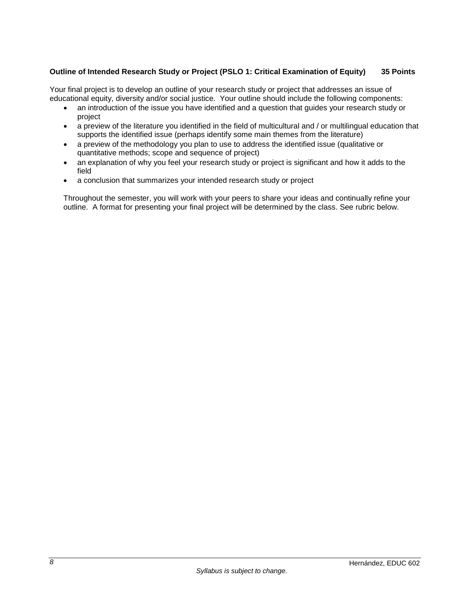# **Outline of Intended Research Study or Project (PSLO 1: Critical Examination of Equity) 35 Points**

Your final project is to develop an outline of your research study or project that addresses an issue of educational equity, diversity and/or social justice. Your outline should include the following components:

- an introduction of the issue you have identified and a question that guides your research study or project
- a preview of the literature you identified in the field of multicultural and / or multilingual education that supports the identified issue (perhaps identify some main themes from the literature)
- a preview of the methodology you plan to use to address the identified issue (qualitative or quantitative methods; scope and sequence of project)
- an explanation of why you feel your research study or project is significant and how it adds to the field
- a conclusion that summarizes your intended research study or project

Throughout the semester, you will work with your peers to share your ideas and continually refine your outline. A format for presenting your final project will be determined by the class. See rubric below.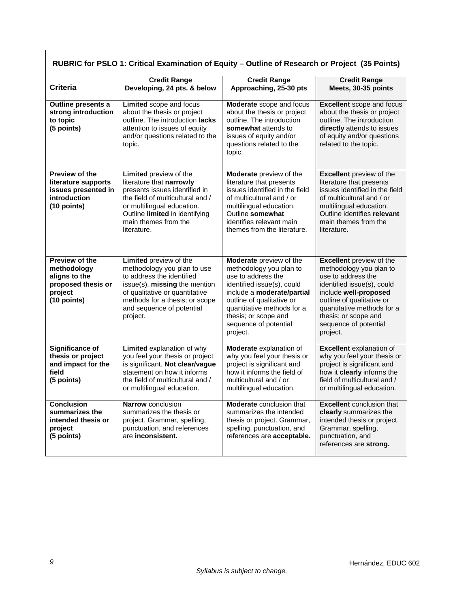| RUBRIC for PSLO 1: Critical Examination of Equity - Outline of Research or Project (35 Points) |                                                                                                                                                                                                                                  |                                                                                                                                                                                                                                                              |                                                                                                                                                                                                                                                                 |
|------------------------------------------------------------------------------------------------|----------------------------------------------------------------------------------------------------------------------------------------------------------------------------------------------------------------------------------|--------------------------------------------------------------------------------------------------------------------------------------------------------------------------------------------------------------------------------------------------------------|-----------------------------------------------------------------------------------------------------------------------------------------------------------------------------------------------------------------------------------------------------------------|
| <b>Criteria</b>                                                                                | <b>Credit Range</b><br>Developing, 24 pts. & below                                                                                                                                                                               | <b>Credit Range</b><br>Approaching, 25-30 pts                                                                                                                                                                                                                | <b>Credit Range</b><br>Meets, 30-35 points                                                                                                                                                                                                                      |
| Outline presents a<br>strong introduction<br>to topic<br>(5 points)                            | Limited scope and focus<br>about the thesis or project<br>outline. The introduction lacks<br>attention to issues of equity<br>and/or questions related to the<br>topic.                                                          | Moderate scope and focus<br>about the thesis or project<br>outline. The introduction<br>somewhat attends to<br>issues of equity and/or<br>questions related to the<br>topic.                                                                                 | <b>Excellent</b> scope and focus<br>about the thesis or project<br>outline. The introduction<br>directly attends to issues<br>of equity and/or questions<br>related to the topic.                                                                               |
| Preview of the<br>literature supports<br>issues presented in<br>introduction<br>$(10$ points)  | Limited preview of the<br>literature that narrowly<br>presents issues identified in<br>the field of multicultural and /<br>or multilingual education.<br>Outline limited in identifying<br>main themes from the<br>literature.   | Moderate preview of the<br>literature that presents<br>issues identified in the field<br>of multicultural and / or<br>multilingual education.<br>Outline somewhat<br>identifies relevant main<br>themes from the literature.                                 | <b>Excellent</b> preview of the<br>literature that presents<br>issues identified in the field<br>of multicultural and / or<br>multilingual education.<br>Outline identifies relevant<br>main themes from the<br>literature.                                     |
| Preview of the<br>methodology<br>aligns to the<br>proposed thesis or<br>project<br>(10 points) | Limited preview of the<br>methodology you plan to use<br>to address the identified<br>issue(s), missing the mention<br>of qualitative or quantitative<br>methods for a thesis; or scope<br>and sequence of potential<br>project. | Moderate preview of the<br>methodology you plan to<br>use to address the<br>identified issue(s), could<br>include a moderate/partial<br>outline of qualitative or<br>quantitative methods for a<br>thesis; or scope and<br>sequence of potential<br>project. | <b>Excellent</b> preview of the<br>methodology you plan to<br>use to address the<br>identified issue(s), could<br>include well-proposed<br>outline of qualitative or<br>quantitative methods for a<br>thesis; or scope and<br>sequence of potential<br>project. |
| <b>Significance of</b><br>thesis or project<br>and impact for the<br>field<br>(5 points)       | Limited explanation of why<br>you feel your thesis or project<br>is significant. Not clear/vague<br>statement on how it informs<br>the field of multicultural and /<br>or multilingual education.                                | Moderate explanation of<br>why you feel your thesis or<br>project is significant and<br>how it informs the field of<br>multicultural and / or<br>multilingual education.                                                                                     | <b>Excellent</b> explanation of<br>why you feel your thesis or<br>project is significant and<br>how it clearly informs the<br>field of multicultural and /<br>or multilingual education.                                                                        |
| <b>Conclusion</b><br>summarizes the<br>intended thesis or<br>project<br>(5 points)             | Narrow conclusion<br>summarizes the thesis or<br>project. Grammar, spelling,<br>punctuation, and references<br>are inconsistent.                                                                                                 | Moderate conclusion that<br>summarizes the intended<br>thesis or project. Grammar,<br>spelling, punctuation, and<br>references are acceptable.                                                                                                               | <b>Excellent</b> conclusion that<br>clearly summarizes the<br>intended thesis or project.<br>Grammar, spelling,<br>punctuation, and<br>references are strong.                                                                                                   |

г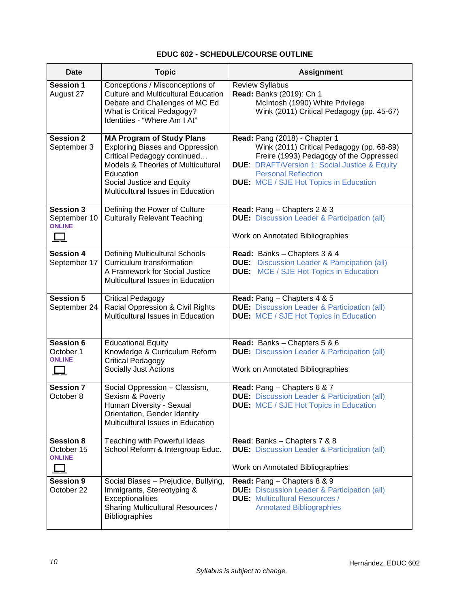# **EDUC 602 - SCHEDULE/COURSE OUTLINE**

| Date                                                     | <b>Topic</b>                                                                                                                                                                                                                              | <b>Assignment</b>                                                                                                                                                                                                                                                |
|----------------------------------------------------------|-------------------------------------------------------------------------------------------------------------------------------------------------------------------------------------------------------------------------------------------|------------------------------------------------------------------------------------------------------------------------------------------------------------------------------------------------------------------------------------------------------------------|
| <b>Session 1</b><br>August 27                            | Conceptions / Misconceptions of<br><b>Culture and Multicultural Education</b><br>Debate and Challenges of MC Ed<br>What is Critical Pedagogy?<br>Identities - "Where Am I At"                                                             | <b>Review Syllabus</b><br>Read: Banks (2019): Ch 1<br>McIntosh (1990) White Privilege<br>Wink (2011) Critical Pedagogy (pp. 45-67)                                                                                                                               |
| <b>Session 2</b><br>September 3                          | <b>MA Program of Study Plans</b><br><b>Exploring Biases and Oppression</b><br>Critical Pedagogy continued<br><b>Models &amp; Theories of Multicultural</b><br>Education<br>Social Justice and Equity<br>Multicultural Issues in Education | Read: Pang (2018) - Chapter 1<br>Wink (2011) Critical Pedagogy (pp. 68-89)<br>Freire (1993) Pedagogy of the Oppressed<br><b>DUE: DRAFT/Version 1: Social Justice &amp; Equity</b><br><b>Personal Reflection</b><br><b>DUE:</b> MCE / SJE Hot Topics in Education |
| Session 3<br>September 10<br><b>ONLINE</b><br>$\Box$     | Defining the Power of Culture<br><b>Culturally Relevant Teaching</b>                                                                                                                                                                      | Read: Pang - Chapters 2 & 3<br><b>DUE:</b> Discussion Leader & Participation (all)<br>Work on Annotated Bibliographies                                                                                                                                           |
| <b>Session 4</b><br>September 17                         | <b>Defining Multicultural Schools</b><br>Curriculum transformation<br>A Framework for Social Justice<br>Multicultural Issues in Education                                                                                                 | Read: Banks - Chapters 3 & 4<br><b>DUE:</b> Discussion Leader & Participation (all)<br><b>DUE:</b> MCE / SJE Hot Topics in Education                                                                                                                             |
| <b>Session 5</b><br>September 24                         | <b>Critical Pedagogy</b><br>Racial Oppression & Civil Rights<br>Multicultural Issues in Education                                                                                                                                         | Read: Pang - Chapters 4 & 5<br><b>DUE:</b> Discussion Leader & Participation (all)<br><b>DUE:</b> MCE / SJE Hot Topics in Education                                                                                                                              |
| Session 6<br>October 1<br><b>ONLINE</b><br>$\mathcal{L}$ | <b>Educational Equity</b><br>Knowledge & Curriculum Reform<br><b>Critical Pedagogy</b><br>Socially Just Actions                                                                                                                           | Read: Banks - Chapters 5 & 6<br><b>DUE:</b> Discussion Leader & Participation (all)<br>Work on Annotated Bibliographies                                                                                                                                          |
| <b>Session 7</b><br>October 8                            | Social Oppression - Classism,<br>Sexism & Poverty<br>Human Diversity - Sexual<br>Orientation, Gender Identity<br>Multicultural Issues in Education                                                                                        | Read: Pang - Chapters 6 & 7<br><b>DUE:</b> Discussion Leader & Participation (all)<br><b>DUE:</b> MCE / SJE Hot Topics in Education                                                                                                                              |
| <b>Session 8</b><br>October 15<br><b>ONLINE</b>          | Teaching with Powerful Ideas<br>School Reform & Intergroup Educ.                                                                                                                                                                          | Read: Banks - Chapters 7 & 8<br><b>DUE:</b> Discussion Leader & Participation (all)<br>Work on Annotated Bibliographies                                                                                                                                          |
| <b>Session 9</b><br>October 22                           | Social Biases - Prejudice, Bullying,<br>Immigrants, Stereotyping &<br>Exceptionalities<br><b>Sharing Multicultural Resources /</b><br><b>Bibliographies</b>                                                                               | Read: Pang - Chapters 8 & 9<br><b>DUE:</b> Discussion Leader & Participation (all)<br><b>DUE:</b> Multicultural Resources /<br><b>Annotated Bibliographies</b>                                                                                                   |